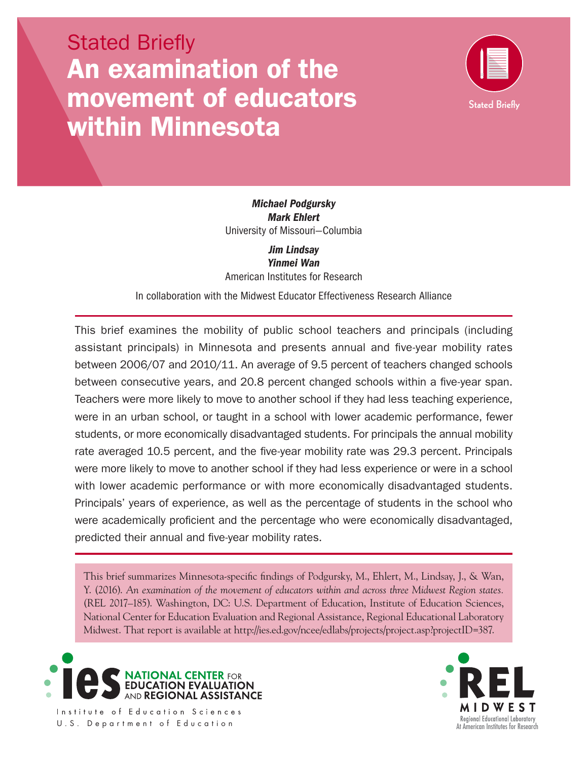# Stated Briefly An examination of the movement of educators within Minnesota



 University of Missouri—Columbia *Michael Podgursky Mark Ehlert* 

*Jim Lindsay Yinmei Wan*  American Institutes for Research

In collaboration with the Midwest Educator Effectiveness Research Alliance

 were more likely to move to another school if they had less experience or were in a school This brief examines the mobility of public school teachers and principals (including assistant principals) in Minnesota and presents annual and five-year mobility rates between 2006/07 and 2010/11. An average of 9.5 percent of teachers changed schools between consecutive years, and 20.8 percent changed schools within a five-year span. Teachers were more likely to move to another school if they had less teaching experience, were in an urban school, or taught in a school with lower academic performance, fewer students, or more economically disadvantaged students. For principals the annual mobility rate averaged 10.5 percent, and the five-year mobility rate was 29.3 percent. Principals with lower academic performance or with more economically disadvantaged students. Principals' years of experience, as well as the percentage of students in the school who were academically proficient and the percentage who were economically disadvantaged, predicted their annual and five-year mobility rates.

This brief summarizes Minnesota-specific findings of Podgursky, M., Ehlert, M., Lindsay, J., & Wan, Y. (2016). *An examination of the movement of educators within and across three Midwest Region states.*  (REL 2017–185). Washington, DC: U.S. Department of Education, Institute of Education Sciences, National Center for Education Evaluation and Regional Assistance, Regional Educational Laboratory Midwest. That report is available at <http://ies.ed.gov/ncee/edlabs/projects/project.asp?projectID=387>.





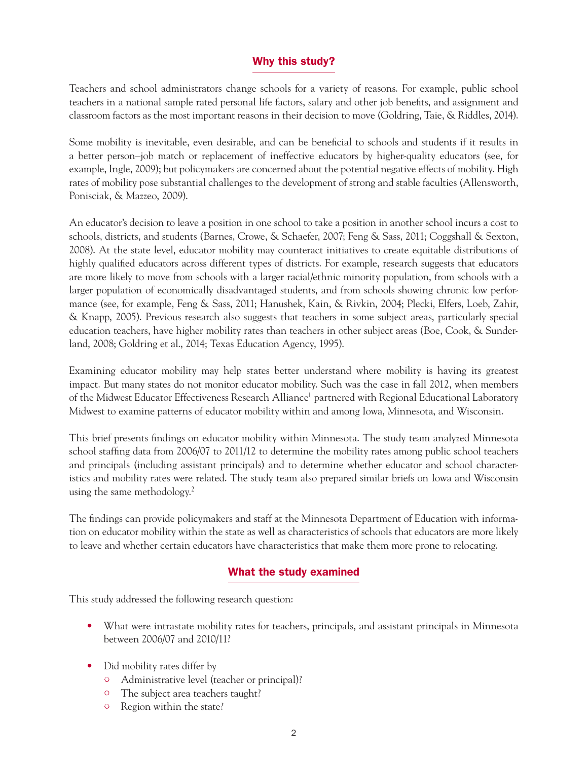# Why this study?

Teachers and school administrators change schools for a variety of reasons. For example, public school teachers in a national sample rated personal life factors, salary and other job benefits, and assignment and classroom factors as the most important reasons in their decision to move (Goldring, Taie, & Riddles, 2014).

Some mobility is inevitable, even desirable, and can be beneficial to schools and students if it results in a better person–job match or replacement of ineffective educators by higher-quality educators (see, for example, Ingle, 2009); but policymakers are concerned about the potential negative effects of mobility. High rates of mobility pose substantial challenges to the development of strong and stable faculties (Allensworth, Ponisciak, & Mazzeo, 2009).

An educator's decision to leave a position in one school to take a position in another school incurs a cost to schools, districts, and students (Barnes, Crowe, & Schaefer, 2007; Feng & Sass, 2011; Coggshall & Sexton, 2008). At the state level, educator mobility may counteract initiatives to create equitable distributions of highly qualified educators across different types of districts. For example, research suggests that educators are more likely to move from schools with a larger racial/ethnic minority population, from schools with a larger population of economically disadvantaged students, and from schools showing chronic low performance (see, for example, Feng & Sass, 2011; Hanushek, Kain, & Rivkin, 2004; Plecki, Elfers, Loeb, Zahir, & Knapp, 2005). Previous research also suggests that teachers in some subject areas, particularly special education teachers, have higher mobility rates than teachers in other subject areas (Boe, Cook, & Sunderland, 2008; Goldring et al., 2014; Texas Education Agency, 1995).

Examining educator mobility may help states better understand where mobility is having its greatest impact. But many states do not monitor educator mobility. Such was the case in fall 2012, when members of the Midwest Educator Effectiveness Research Alliance<sup>1</sup> partnered with Regional Educational Laboratory Midwest to examine patterns of educator mobility within and among Iowa, Minnesota, and Wisconsin.

This brief presents findings on educator mobility within Minnesota. The study team analyzed Minnesota school staffing data from 2006/07 to 2011/12 to determine the mobility rates among public school teachers and principals (including assistant principals) and to determine whether educator and school characteristics and mobility rates were related. The study team also prepared similar briefs on Iowa and Wisconsin using the same methodology.<sup>2</sup>

The findings can provide policymakers and staff at the Minnesota Department of Education with information on educator mobility within the state as well as characteristics of schools that educators are more likely to leave and whether certain educators have characteristics that make them more prone to relocating.

# What the study examined

This study addressed the following research question:

- What were intrastate mobility rates for teachers, principals, and assistant principals in Minnesota between 2006/07 and 2010/11?
- Did mobility rates differ by
	- • Administrative level (teacher or principal)?
	- The subject area teachers taught?
	- <sup>o</sup> Region within the state?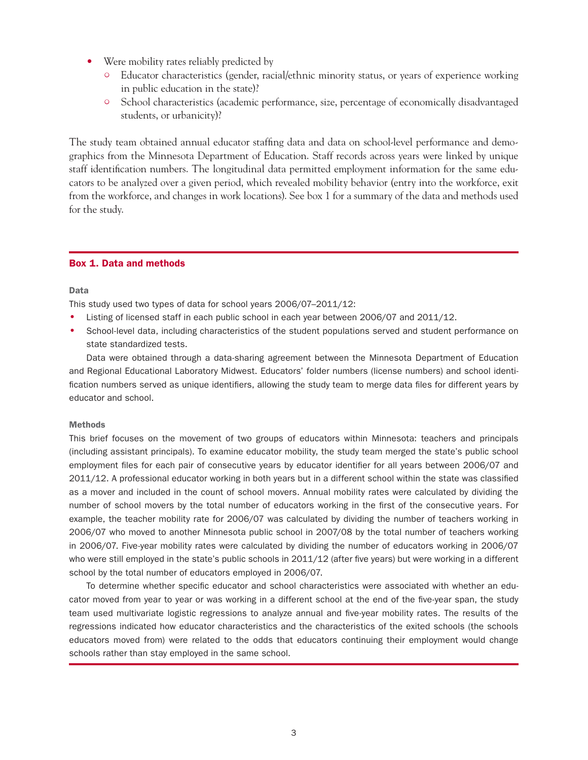- Were mobility rates reliably predicted by
	- $\circ$  Educator characteristics (gender, racial/ethnic minority status, or years of experience working in public education in the state)?
	- <sup>o</sup> School characteristics (academic performance, size, percentage of economically disadvantaged students, or urbanicity)?

The study team obtained annual educator staffing data and data on school-level performance and demographics from the Minnesota Department of Education. Staff records across years were linked by unique staff identification numbers. The longitudinal data permitted employment information for the same educators to be analyzed over a given period, which revealed mobility behavior (entry into the workforce, exit from the workforce, and changes in work locations). See box 1 for a summary of the data and methods used for the study.

#### Box 1. Data and methods

#### Data

This study used two types of data for school years 2006/07–2011/12:

- Listing of licensed staff in each public school in each year between 2006/07 and 2011/12.
- • School-level data, including characteristics of the student populations served and student performance on state standardized tests.

Data were obtained through a data-sharing agreement between the Minnesota Department of Education and Regional Educational Laboratory Midwest. Educators' folder numbers (license numbers) and school identification numbers served as unique identifiers, allowing the study team to merge data files for different years by educator and school.

#### Methods

This brief focuses on the movement of two groups of educators within Minnesota: teachers and principals (including assistant principals). To examine educator mobility, the study team merged the state's public school employment files for each pair of consecutive years by educator identifier for all years between 2006/07 and 2011/12. A professional educator working in both years but in a different school within the state was classified as a mover and included in the count of school movers. Annual mobility rates were calculated by dividing the number of school movers by the total number of educators working in the first of the consecutive years. For example, the teacher mobility rate for 2006/07 was calculated by dividing the number of teachers working in 2006/07 who moved to another Minnesota public school in 2007/08 by the total number of teachers working in 2006/07. Five-year mobility rates were calculated by dividing the number of educators working in 2006/07 who were still employed in the state's public schools in 2011/12 (after five years) but were working in a different school by the total number of educators employed in 2006/07.

To determine whether specific educator and school characteristics were associated with whether an educator moved from year to year or was working in a different school at the end of the five-year span, the study team used multivariate logistic regressions to analyze annual and five-year mobility rates. The results of the regressions indicated how educator characteristics and the characteristics of the exited schools (the schools educators moved from) were related to the odds that educators continuing their employment would change schools rather than stay employed in the same school.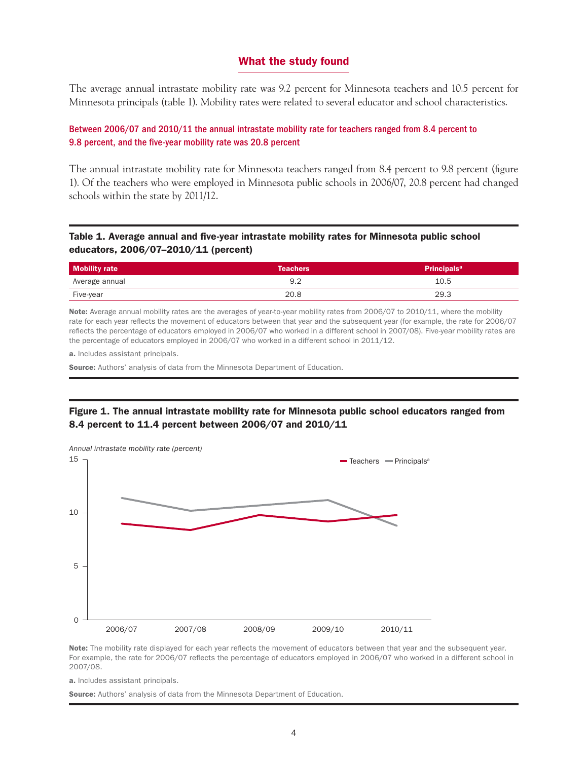# What the study found

The average annual intrastate mobility rate was 9.2 percent for Minnesota teachers and 10.5 percent for Minnesota principals (table 1). Mobility rates were related to several educator and school characteristics.

# Between 2006/07 and 2010/11 the annual intrastate mobility rate for teachers ranged from 8.4 percent to 9.8 percent, and the five-year mobility rate was 20.8 percent

The annual intrastate mobility rate for Minnesota teachers ranged from 8.4 percent to 9.8 percent (figure 1). Of the teachers who were employed in Minnesota public schools in 2006/07, 20.8 percent had changed schools within the state by 2011/12.

# Table 1. Average annual and five-year intrastate mobility rates for Minnesota public school educators, 2006/07–2010/11 (percent)

| <b>Mobility rate</b> | <b>Teachers</b> | Principals <sup>a</sup> |
|----------------------|-----------------|-------------------------|
| Average annual       |                 | 10.5                    |
| Five-year            | 20.8            | 29.3                    |

Note: Average annual mobility rates are the averages of year-to-year mobility rates from 2006/07 to 2010/11, where the mobility rate for each year reflects the movement of educators between that year and the subsequent year (for example, the rate for 2006/07 reflects the percentage of educators employed in 2006/07 who worked in a different school in 2007/08). Five-year mobility rates are the percentage of educators employed in 2006/07 who worked in a different school in 2011/12.

a. Includes assistant principals.

**Source:** Authors' analysis of data from the Minnesota Department of Education.

# Figure 1. The annual intrastate mobility rate for Minnesota public school educators ranged from 8.4 percent to 11.4 percent between 2006/07 and 2010/11



Note: The mobility rate displayed for each year reflects the movement of educators between that year and the subsequent year. For example, the rate for 2006/07 reflects the percentage of educators employed in 2006/07 who worked in a different school in 2007/08.

a. Includes assistant principals.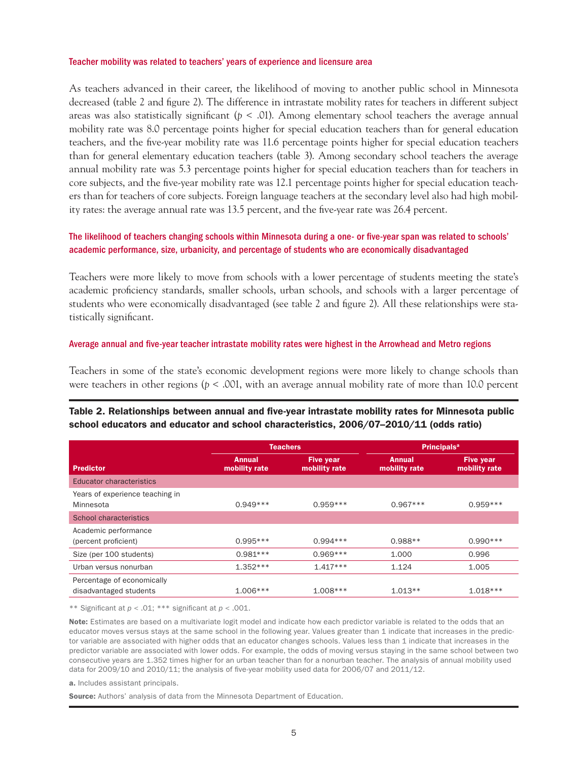#### Teacher mobility was related to teachers' years of experience and licensure area

As teachers advanced in their career, the likelihood of moving to another public school in Minnesota decreased (table 2 and figure 2). The difference in intrastate mobility rates for teachers in different subject areas was also statistically significant ( $p < .01$ ). Among elementary school teachers the average annual mobility rate was 8.0 percentage points higher for special education teachers than for general education teachers, and the five-year mobility rate was 11.6 percentage points higher for special education teachers than for general elementary education teachers (table 3). Among secondary school teachers the average annual mobility rate was 5.3 percentage points higher for special education teachers than for teachers in core subjects, and the five-year mobility rate was 12.1 percentage points higher for special education teachers than for teachers of core subjects. Foreign language teachers at the secondary level also had high mobility rates: the average annual rate was 13.5 percent, and the five-year rate was 26.4 percent.

# The likelihood of teachers changing schools within Minnesota during a one- or five-year span was related to schools' academic performance, size, urbanicity, and percentage of students who are economically disadvantaged

Teachers were more likely to move from schools with a lower percentage of students meeting the state's academic proficiency standards, smaller schools, urban schools, and schools with a larger percentage of students who were economically disadvantaged (see table 2 and figure 2). All these relationships were statistically significant.

#### Average annual and five-year teacher intrastate mobility rates were highest in the Arrowhead and Metro regions

Teachers in some of the state's economic development regions were more likely to change schools than were teachers in other regions (*p* < .001, with an average annual mobility rate of more than 10.0 percent

# Table 2. Relationships between annual and five-year intrastate mobility rates for Minnesota public school educators and educator and school characteristics, 2006/07–2010/11 (odds ratio)

|                                                      | <b>Teachers</b>                |                                   | <b>Principals<sup>a</sup></b>  |                                   |
|------------------------------------------------------|--------------------------------|-----------------------------------|--------------------------------|-----------------------------------|
| <b>Predictor</b>                                     | <b>Annual</b><br>mobility rate | <b>Five year</b><br>mobility rate | <b>Annual</b><br>mobility rate | <b>Five year</b><br>mobility rate |
| <b>Educator characteristics</b>                      |                                |                                   |                                |                                   |
| Years of experience teaching in<br>Minnesota         | $0.949***$                     | $0.959***$                        | $0.967***$                     | $0.959***$                        |
| School characteristics                               |                                |                                   |                                |                                   |
| Academic performance<br>(percent proficient)         | $0.995***$                     | $0.994***$                        | $0.988**$                      | $0.990***$                        |
| Size (per 100 students)                              | $0.981***$                     | $0.969***$                        | 1.000                          | 0.996                             |
| Urban versus nonurban                                | $1.352***$                     | $1.417***$                        | 1.124                          | 1.005                             |
| Percentage of economically<br>disadvantaged students | $1.006***$                     | $1.008***$                        | $1.013**$                      | $1.018***$                        |

\*\* Significant at *p* < .01; \*\*\* significant at *p* < .001.

Note: Estimates are based on a multivariate logit model and indicate how each predictor variable is related to the odds that an educator moves versus stays at the same school in the following year. Values greater than 1 indicate that increases in the predictor variable are associated with higher odds that an educator changes schools. Values less than 1 indicate that increases in the predictor variable are associated with lower odds. For example, the odds of moving versus staying in the same school between two consecutive years are 1.352 times higher for an urban teacher than for a nonurban teacher. The analysis of annual mobility used data for 2009/10 and 2010/11; the analysis of five-year mobility used data for 2006/07 and 2011/12.

a. Includes assistant principals.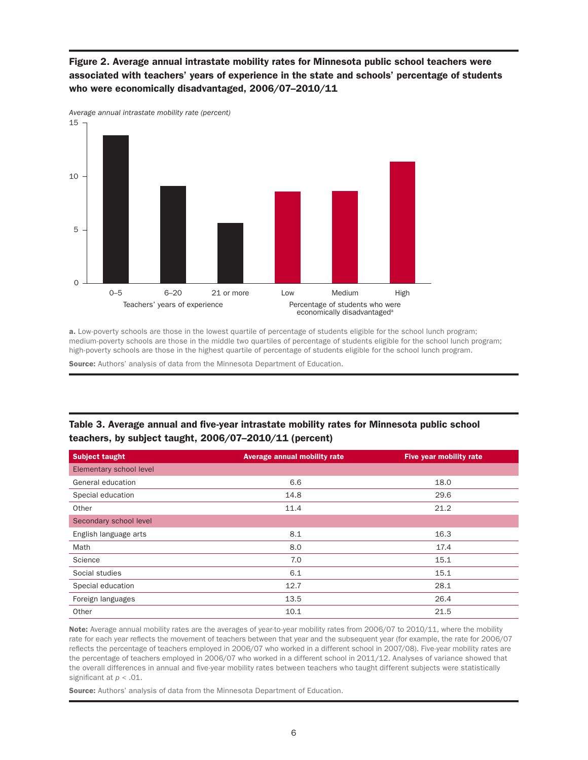# Figure 2. Average annual intrastate mobility rates for Minnesota public school teachers were associated with teachers' years of experience in the state and schools' percentage of students who were economically disadvantaged, 2006/07–2010/11



a. Low-poverty schools are those in the lowest quartile of percentage of students eligible for the school lunch program; medium-poverty schools are those in the middle two quartiles of percentage of students eligible for the school lunch program; high-poverty schools are those in the highest quartile of percentage of students eligible for the school lunch program.

Source: Authors' analysis of data from the Minnesota Department of Education.

# Table 3. Average annual and five-year intrastate mobility rates for Minnesota public school teachers, by subject taught, 2006/07–2010/11 (percent)

| <b>Subject taught</b>   | Average annual mobility rate | Five year mobility rate |
|-------------------------|------------------------------|-------------------------|
| Elementary school level |                              |                         |
| General education       | 6.6                          | 18.0                    |
| Special education       | 14.8                         | 29.6                    |
| Other                   | 11.4                         | 21.2                    |
| Secondary school level  |                              |                         |
| English language arts   | 8.1                          | 16.3                    |
| Math                    | 8.0                          | 17.4                    |
| Science                 | 7.0                          | 15.1                    |
| Social studies          | 6.1                          | 15.1                    |
| Special education       | 12.7                         | 28.1                    |
| Foreign languages       | 13.5                         | 26.4                    |
| Other                   | 10.1                         | 21.5                    |

 the percentage of teachers employed in 2006/07 who worked in a different school in 2011/12. Analyses of variance showed that Note: Average annual mobility rates are the averages of year-to-year mobility rates from 2006/07 to 2010/11, where the mobility rate for each year reflects the movement of teachers between that year and the subsequent year (for example, the rate for 2006/07 reflects the percentage of teachers employed in 2006/07 who worked in a different school in 2007/08). Five-year mobility rates are the overall differences in annual and five-year mobility rates between teachers who taught different subjects were statistically significant at *p* < .01.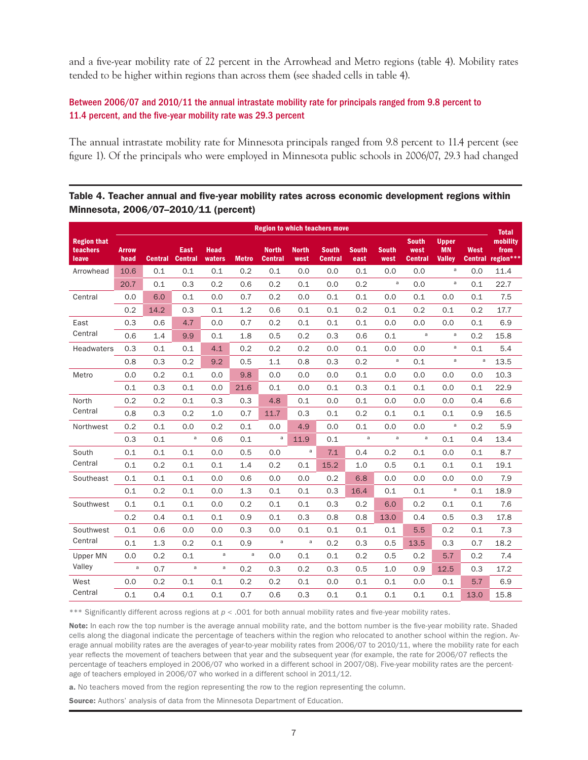and a five-year mobility rate of 22 percent in the Arrowhead and Metro regions (table 4). Mobility rates tended to be higher within regions than across them (see shaded cells in table 4).

# Between 2006/07 and 2010/11 the annual intrastate mobility rate for principals ranged from 9.8 percent to 11.4 percent, and the five-year mobility rate was 29.3 percent

The annual intrastate mobility rate for Minnesota principals ranged from 9.8 percent to 11.4 percent (see figure 1). Of the principals who were employed in Minnesota public schools in 2006/07, 29.3 had changed

# Table 4. Teacher annual and five-year mobility rates across economic development regions within Minnesota, 2006/07–2010/11 (percent)

|                                         | <b>Region to which teachers move</b> |                |                        |                       |              |                                |                      |                                |                      |                      |                                        | <b>Total</b>                               |                        |                               |
|-----------------------------------------|--------------------------------------|----------------|------------------------|-----------------------|--------------|--------------------------------|----------------------|--------------------------------|----------------------|----------------------|----------------------------------------|--------------------------------------------|------------------------|-------------------------------|
| <b>Region that</b><br>teachers<br>leave | <b>Arrow</b><br>head                 | <b>Central</b> | East<br><b>Central</b> | <b>Head</b><br>waters | <b>Metro</b> | <b>North</b><br><b>Central</b> | <b>North</b><br>west | <b>South</b><br><b>Central</b> | <b>South</b><br>east | <b>South</b><br>west | <b>South</b><br>west<br><b>Central</b> | <b>Upper</b><br><b>MN</b><br><b>Valley</b> | West<br><b>Central</b> | mobility<br>from<br>region*** |
| Arrowhead                               | 10.6                                 | 0.1            | 0.1                    | 0.1                   | 0.2          | 0.1                            | 0.0                  | 0.0                            | 0.1                  | 0.0                  | 0.0                                    | a                                          | 0.0                    | 11.4                          |
|                                         | 20.7                                 | 0.1            | 0.3                    | 0.2                   | 0.6          | 0.2                            | 0.1                  | 0.0                            | 0.2                  | $\mathsf a$          | 0.0                                    | $\mathsf{a}$                               | 0.1                    | 22.7                          |
| Central                                 | 0.0                                  | 6.0            | 0.1                    | 0.0                   | 0.7          | 0.2                            | 0.0                  | 0.1                            | 0.1                  | 0.0                  | 0.1                                    | 0.0                                        | 0.1                    | 7.5                           |
|                                         | 0.2                                  | 14.2           | 0.3                    | 0.1                   | 1.2          | 0.6                            | 0.1                  | 0.1                            | 0.2                  | 0.1                  | 0.2                                    | 0.1                                        | 0.2                    | 17.7                          |
| East                                    | 0.3                                  | 0.6            | 4.7                    | 0.0                   | 0.7          | 0.2                            | 0.1                  | 0.1                            | 0.1                  | 0.0                  | 0.0                                    | 0.0                                        | 0.1                    | 6.9                           |
| Central                                 | 0.6                                  | 1.4            | 9.9                    | 0.1                   | 1.8          | 0.5                            | 0.2                  | 0.3                            | 0.6                  | 0.1                  | $\mathsf a$                            | $\mathsf{a}$                               | 0.2                    | 15.8                          |
| Headwaters                              | 0.3                                  | 0.1            | 0.1                    | 4.1                   | 0.2          | 0.2                            | 0.2                  | 0.0                            | 0.1                  | 0.0                  | 0.0                                    | $\mathsf{a}$                               | 0.1                    | 5.4                           |
|                                         | 0.8                                  | 0.3            | 0.2                    | 9.2                   | 0.5          | 1.1                            | 0.8                  | 0.3                            | 0.2                  | $\mathsf a$          | 0.1                                    | $\mathsf{a}$                               | $\mathsf a$            | 13.5                          |
| Metro                                   | 0.0                                  | 0.2            | 0.1                    | 0.0                   | 9.8          | 0.0                            | 0.0                  | 0.0                            | 0.1                  | 0.0                  | 0.0                                    | 0.0                                        | 0.0                    | 10.3                          |
|                                         | 0.1                                  | 0.3            | 0.1                    | 0.0                   | 21.6         | 0.1                            | 0.0                  | 0.1                            | 0.3                  | 0.1                  | 0.1                                    | 0.0                                        | 0.1                    | 22.9                          |
| North                                   | 0.2                                  | 0.2            | 0.1                    | 0.3                   | 0.3          | 4.8                            | 0.1                  | 0.0                            | 0.1                  | 0.0                  | 0.0                                    | 0.0                                        | 0.4                    | 6.6                           |
| Central                                 | 0.8                                  | 0.3            | 0.2                    | 1.0                   | 0.7          | 11.7                           | 0.3                  | 0.1                            | 0.2                  | 0.1                  | 0.1                                    | 0.1                                        | 0.9                    | 16.5                          |
| Northwest                               | 0.2                                  | 0.1            | 0.0                    | 0.2                   | 0.1          | 0.0                            | 4.9                  | 0.0                            | 0.1                  | 0.0                  | 0.0                                    | $\mathsf{a}$                               | 0.2                    | 5.9                           |
|                                         | 0.3                                  | 0.1            | $\mathsf{a}$           | 0.6                   | 0.1          | a                              | 11.9                 | 0.1                            | a                    | $\mathsf a$          | $\mathsf a$                            | 0.1                                        | 0.4                    | 13.4                          |
| South                                   | 0.1                                  | 0.1            | 0.1                    | 0.0                   | 0.5          | 0.0                            | a                    | 7.1                            | 0.4                  | 0.2                  | 0.1                                    | 0.0                                        | 0.1                    | 8.7                           |
| Central                                 | 0.1                                  | 0.2            | 0.1                    | 0.1                   | 1.4          | 0.2                            | 0.1                  | 15.2                           | 1.0                  | 0.5                  | 0.1                                    | 0.1                                        | 0.1                    | 19.1                          |
| Southeast                               | 0.1                                  | 0.1            | 0.1                    | 0.0                   | 0.6          | 0.0                            | 0.0                  | 0.2                            | 6.8                  | 0.0                  | 0.0                                    | 0.0                                        | 0.0                    | 7.9                           |
|                                         | 0.1                                  | 0.2            | 0.1                    | 0.0                   | 1.3          | 0.1                            | 0.1                  | 0.3                            | 16.4                 | 0.1                  | 0.1                                    | $\mathsf{a}$                               | 0.1                    | 18.9                          |
| Southwest                               | 0.1                                  | 0.1            | 0.1                    | 0.0                   | 0.2          | 0.1                            | 0.1                  | 0.3                            | 0.2                  | 6.0                  | 0.2                                    | 0.1                                        | 0.1                    | 7.6                           |
|                                         | 0.2                                  | 0.4            | 0.1                    | 0.1                   | 0.9          | 0.1                            | 0.3                  | 0.8                            | 0.8                  | 13.0                 | 0.4                                    | 0.5                                        | 0.3                    | 17.8                          |
| Southwest                               | 0.1                                  | 0.6            | 0.0                    | 0.0                   | 0.3          | 0.0                            | 0.1                  | 0.1                            | 0.1                  | 0.1                  | 5.5                                    | 0.2                                        | 0.1                    | 7.3                           |
| Central                                 | 0.1                                  | 1.3            | 0.2                    | 0.1                   | 0.9          | $\mathsf{a}$                   | $\mathsf{a}$         | 0.2                            | 0.3                  | 0.5                  | 13.5                                   | 0.3                                        | 0.7                    | 18.2                          |
| Upper MN                                | 0.0                                  | 0.2            | 0.1                    | $\mathsf{a}$          | $\mathsf a$  | 0.0                            | 0.1                  | 0.1                            | 0.2                  | 0.5                  | 0.2                                    | 5.7                                        | 0.2                    | 7.4                           |
| Valley                                  | $\mathsf{a}$                         | 0.7            | a                      | a                     | 0.2          | 0.3                            | 0.2                  | 0.3                            | 0.5                  | 1.0                  | 0.9                                    | 12.5                                       | 0.3                    | 17.2                          |
| West                                    | 0.0                                  | 0.2            | 0.1                    | 0.1                   | 0.2          | 0.2                            | 0.1                  | 0.0                            | 0.1                  | 0.1                  | 0.0                                    | 0.1                                        | 5.7                    | 6.9                           |
| Central                                 | 0.1                                  | 0.4            | 0.1                    | 0.1                   | 0.7          | 0.6                            | 0.3                  | 0.1                            | 0.1                  | 0.1                  | 0.1                                    | 0.1                                        | 13.0                   | 15.8                          |

\*\*\* Significantly different across regions at  $p < .001$  for both annual mobility rates and five-year mobility rates.

Note: In each row the top number is the average annual mobility rate, and the bottom number is the five-year mobility rate. Shaded cells along the diagonal indicate the percentage of teachers within the region who relocated to another school within the region. Average annual mobility rates are the averages of year-to-year mobility rates from 2006/07 to 2010/11, where the mobility rate for each year reflects the movement of teachers between that year and the subsequent year (for example, the rate for 2006/07 reflects the percentage of teachers employed in 2006/07 who worked in a different school in 2007/08). Five-year mobility rates are the percentage of teachers employed in 2006/07 who worked in a different school in 2011/12.

a. No teachers moved from the region representing the row to the region representing the column.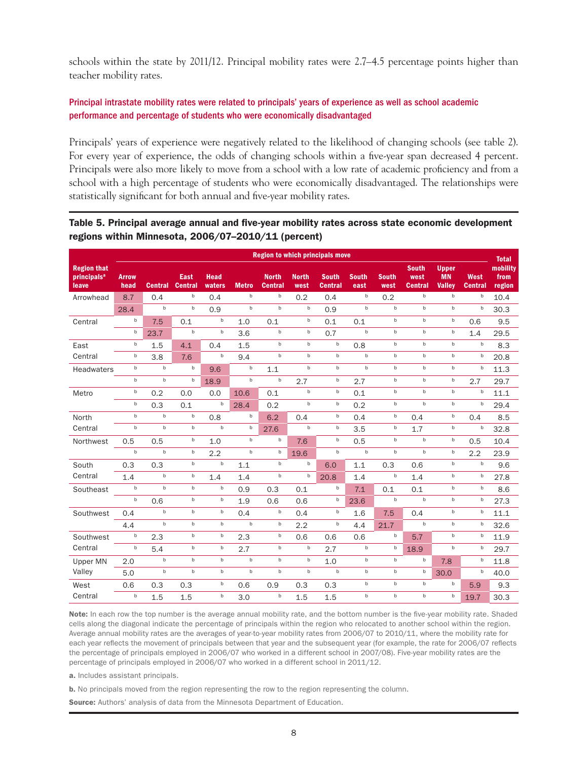schools within the state by 2011/12. Principal mobility rates were 2.7–4.5 percentage points higher than teacher mobility rates.

# Principal intrastate mobility rates were related to principals' years of experience as well as school academic performance and percentage of students who were economically disadvantaged

Principals' years of experience were negatively related to the likelihood of changing schools (see table 2). For every year of experience, the odds of changing schools within a five-year span decreased 4 percent. Principals were also more likely to move from a school with a low rate of academic proficiency and from a school with a high percentage of students who were economically disadvantaged. The relationships were statistically significant for both annual and five-year mobility rates.

#### Table 5. Principal average annual and five-year mobility rates across state economic development regions within Minnesota, 2006/07–2010/11 (percent)

|                                                        | <b>Region to which principals move</b> |                |                        |                       |              |                                |                      |                                |                      |                      |                                 | <b>Total</b>                               |                        |                            |
|--------------------------------------------------------|----------------------------------------|----------------|------------------------|-----------------------|--------------|--------------------------------|----------------------|--------------------------------|----------------------|----------------------|---------------------------------|--------------------------------------------|------------------------|----------------------------|
| <b>Region that</b><br>principals <sup>a</sup><br>leave | <b>Arrow</b><br>head                   | <b>Central</b> | East<br><b>Central</b> | <b>Head</b><br>waters | <b>Metro</b> | <b>North</b><br><b>Central</b> | <b>North</b><br>west | <b>South</b><br><b>Central</b> | <b>South</b><br>east | <b>South</b><br>west | <b>South</b><br>west<br>Central | <b>Upper</b><br><b>MN</b><br><b>Valley</b> | West<br><b>Central</b> | mobility<br>from<br>region |
| Arrowhead                                              | 8.7                                    | 0.4            | b                      | 0.4                   | $\mathsf b$  | $\sf b$                        | 0.2                  | 0.4                            | $\mathsf b$          | 0.2                  | $\mathbf b$                     | $\mathbf b$                                | $\mathbf b$            | 10.4                       |
|                                                        | 28.4                                   | $\mathsf b$    | $\sf b$                | 0.9                   | $\sf b$      | $\mathbf b$                    | $\mathsf b$          | 0.9                            | $\mathsf b$          | $\sf b$              | $\mathbf b$                     | $^{\rm b}$                                 | $\sf b$                | 30.3                       |
| Central                                                | b                                      | 7.5            | 0.1                    | $\mathsf b$           | 1.0          | 0.1                            | $\sf b$              | 0.1                            | 0.1                  | $\sf b$              | $\mathbf b$                     | $^{\rm b}$                                 | 0.6                    | 9.5                        |
|                                                        | b                                      | 23.7           | $\sf b$                | $\mathsf b$           | 3.6          | b                              | b                    | 0.7                            | $\mathsf b$          | $\sf b$              | $\mathbf b$                     | b                                          | 1.4                    | 29.5                       |
| East                                                   | b                                      | 1.5            | 4.1                    | 0.4                   | 1.5          | $\mathsf b$                    | $^{\rm b}$           | $\mathsf b$                    | 0.8                  | $\mathsf b$          | $\mathbf b$                     | $\mathbf b$                                | $\sf b$                | 8.3                        |
| Central                                                | b                                      | 3.8            | 7.6                    | $\mathsf b$           | 9.4          | b                              | $\mathsf b$          | $\mathsf b$                    | $\mathsf b$          | $\sf b$              | $\mathbf b$                     | $\mathbf b$                                | $\sf b$                | 20.8                       |
| Headwaters                                             | b                                      | $\mathsf b$    | $\mathsf b$            | 9.6                   | $\mathsf b$  | 1.1                            | $^{\rm b}$           | $\sf b$                        | $\mathsf b$          | $\mathsf b$          | $\sf b$                         | $^{\rm b}$                                 | b                      | 11.3                       |
|                                                        | b                                      | $\mathsf b$    | b                      | 18.9                  | $\sf b$      | b                              | 2.7                  | b                              | 2.7                  | $\sf b$              | $\mathsf b$                     | $^{\rm b}$                                 | 2.7                    | 29.7                       |
| Metro                                                  | b                                      | 0.2            | 0.0                    | 0.0                   | 10.6         | 0.1                            | $\sf b$              | $\sf b$                        | 0.1                  | $\sf b$              | $\mathbf b$                     | $^{\rm b}$                                 | b                      | 11.1                       |
|                                                        | b                                      | 0.3            | 0.1                    | $\mathbf b$           | 28.4         | 0.2                            | b                    | $\mathsf b$                    | 0.2                  | $\sf b$              | $\mathbf b$                     | $\mathbf b$                                | b                      | 29.4                       |
| North                                                  | b                                      | $\mathsf b$    | $\sf b$                | 0.8                   | b            | 6.2                            | 0.4                  | b                              | 0.4                  | $\sf b$              | 0.4                             | $^{\rm b}$                                 | 0.4                    | 8.5                        |
| Central                                                | b                                      | $\mathsf b$    | $^{\rm b}$             | $\sf b$               | $\mathsf b$  | 27.6                           | $^{\rm b}$           | $\sf b$                        | 3.5                  | b                    | 1.7                             | $\mathsf b$                                | b                      | 32.8                       |
| Northwest                                              | 0.5                                    | 0.5            | $\sf b$                | 1.0                   | $\mathsf b$  | b                              | 7.6                  | $\sf b$                        | 0.5                  | $\mathsf b$          | $\sf b$                         | $^{\rm b}$                                 | 0.5                    | 10.4                       |
|                                                        | $\mathsf b$                            | $\mathsf b$    | $\sf b$                | 2.2                   | $\mathsf b$  | $\sf b$                        | 19.6                 | b                              | $\mathsf b$          | $\sf b$              | $\mathsf b$                     | $^{\rm b}$                                 | 2.2                    | 23.9                       |
| South                                                  | 0.3                                    | 0.3            | $\sf b$                | $\mathsf b$           | 1.1          | b                              | $\mathbf b$          | 6.0                            | 1.1                  | 0.3                  | 0.6                             | b                                          | b                      | 9.6                        |
| Central                                                | 1.4                                    | $\mathsf b$    | b                      | 1.4                   | 1.4          | $\mathsf b$                    | b                    | 20.8                           | 1.4                  | $\sf b$              | 1.4                             | b                                          | b                      | 27.8                       |
| Southeast                                              | b                                      | $\mathbf b$    | $\mathsf b$            | $\mathsf b$           | 0.9          | 0.3                            | 0.1                  | $\mathsf b$                    | 7.1                  | 0.1                  | 0.1                             | b                                          | $\sf b$                | 8.6                        |
|                                                        | b                                      | 0.6            | $\sf b$                | $\mathsf b$           | 1.9          | 0.6                            | 0.6                  | b                              | 23.6                 | $\sf b$              | $\sf b$                         | $\mathbf b$                                | $\sf b$                | 27.3                       |
| Southwest                                              | 0.4                                    | $\mathsf b$    | $\sf b$                | $\mathsf b$           | 0.4          | b                              | 0.4                  | $\sf b$                        | 1.6                  | 7.5                  | 0.4                             | $\sf b$                                    | b                      | 11.1                       |
|                                                        | 4.4                                    | $\mathsf b$    | b                      | $\mathsf b$           | $\sf b$      | $\sf b$                        | 2.2                  | $\sf b$                        | 4.4                  | 21.7                 | $\mathsf b$                     | $^{\rm b}$                                 | $\mathsf b$            | 32.6                       |
| Southwest                                              | b                                      | 2.3            | $\sf b$                | $\mathsf b$           | 2.3          | b                              | 0.6                  | 0.6                            | 0.6                  | $\sf b$              | 5.7                             | $\mathbf b$                                | $\sf b$                | 11.9                       |
| Central                                                | b                                      | 5.4            | $\sf b$                | $\mathsf b$           | 2.7          | b                              | b                    | 2.7                            | $\sf b$              | $\sf b$              | 18.9                            | $^{\rm b}$                                 | $\mathsf b$            | 29.7                       |
| Upper MN                                               | 2.0                                    | $\mathbf b$    | $\mathsf b$            | $\mathbf b$           | $\mathbf b$  | b                              | $\mathsf b$          | 1.0                            | $\mathbf b$          | $\mathbf b$          | $\mathsf b$                     | 7.8                                        | b                      | 11.8                       |
| Valley                                                 | 5.0                                    | $\sf b$        | $\sf b$                | $\sf b$               | $\sf b$      | b                              | $\sf b$              | $\mathbf b$                    | $\mathsf b$          | $\sf b$              | $\sf b$                         | 30.0                                       | $\mathsf b$            | 40.0                       |
| West                                                   | 0.6                                    | 0.3            | 0.3                    | $\mathsf b$           | 0.6          | 0.9                            | 0.3                  | 0.3                            | $\sf b$              | $\sf b$              | $\sf b$                         | $\mathsf b$                                | 5.9                    | 9.3                        |
| Central                                                | $\sf b$                                | 1.5            | 1.5                    | $\sf b$               | 3.0          | b                              | 1.5                  | 1.5                            | $\sf b$              | $\sf b$              | $\mathbf b$                     | $\mathsf b$                                | 19.7                   | 30.3                       |

Note: In each row the top number is the average annual mobility rate, and the bottom number is the five-year mobility rate. Shaded cells along the diagonal indicate the percentage of principals within the region who relocated to another school within the region. Average annual mobility rates are the averages of year-to-year mobility rates from 2006/07 to 2010/11, where the mobility rate for each year reflects the movement of principals between that year and the subsequent year (for example, the rate for 2006/07 reflects the percentage of principals employed in 2006/07 who worked in a different school in 2007/08). Five-year mobility rates are the percentage of principals employed in 2006/07 who worked in a different school in 2011/12.

a. Includes assistant principals.

b. No principals moved from the region representing the row to the region representing the column.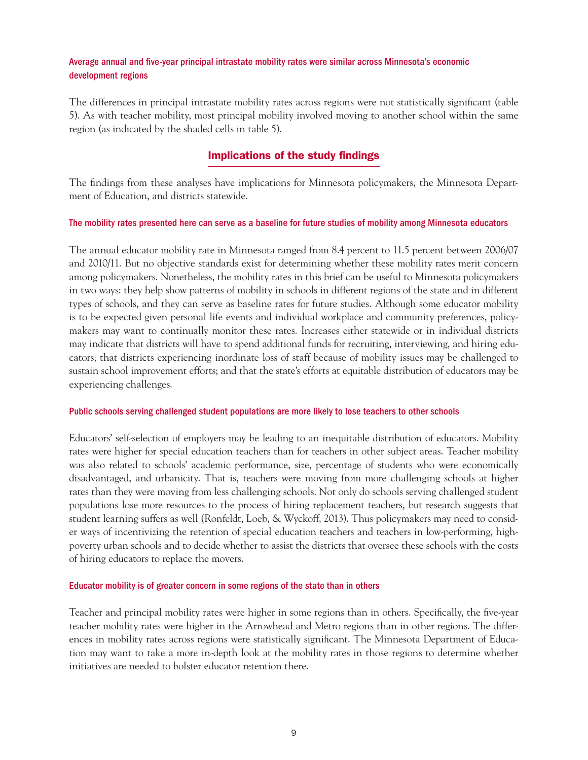#### Average annual and five-year principal intrastate mobility rates were similar across Minnesota's economic development regions

The differences in principal intrastate mobility rates across regions were not statistically significant (table 5). As with teacher mobility, most principal mobility involved moving to another school within the same region (as indicated by the shaded cells in table 5).

# Implications of the study findings

The findings from these analyses have implications for Minnesota policymakers, the Minnesota Department of Education, and districts statewide.

#### The mobility rates presented here can serve as a baseline for future studies of mobility among Minnesota educators

The annual educator mobility rate in Minnesota ranged from 8.4 percent to 11.5 percent between 2006/07 and 2010/11. But no objective standards exist for determining whether these mobility rates merit concern among policymakers. Nonetheless, the mobility rates in this brief can be useful to Minnesota policymakers in two ways: they help show patterns of mobility in schools in different regions of the state and in different types of schools, and they can serve as baseline rates for future studies. Although some educator mobility is to be expected given personal life events and individual workplace and community preferences, policymakers may want to continually monitor these rates. Increases either statewide or in individual districts may indicate that districts will have to spend additional funds for recruiting, interviewing, and hiring educators; that districts experiencing inordinate loss of staff because of mobility issues may be challenged to sustain school improvement efforts; and that the state's efforts at equitable distribution of educators may be experiencing challenges.

#### Public schools serving challenged student populations are more likely to lose teachers to other schools

Educators' self-selection of employers may be leading to an inequitable distribution of educators. Mobility rates were higher for special education teachers than for teachers in other subject areas. Teacher mobility was also related to schools' academic performance, size, percentage of students who were economically disadvantaged, and urbanicity. That is, teachers were moving from more challenging schools at higher rates than they were moving from less challenging schools. Not only do schools serving challenged student populations lose more resources to the process of hiring replacement teachers, but research suggests that student learning suffers as well (Ronfeldt, Loeb, & Wyckoff, 2013). Thus policymakers may need to consider ways of incentivizing the retention of special education teachers and teachers in low-performing, highpoverty urban schools and to decide whether to assist the districts that oversee these schools with the costs of hiring educators to replace the movers.

#### Educator mobility is of greater concern in some regions of the state than in others

Teacher and principal mobility rates were higher in some regions than in others. Specifically, the five-year teacher mobility rates were higher in the Arrowhead and Metro regions than in other regions. The differences in mobility rates across regions were statistically significant. The Minnesota Department of Education may want to take a more in-depth look at the mobility rates in those regions to determine whether initiatives are needed to bolster educator retention there.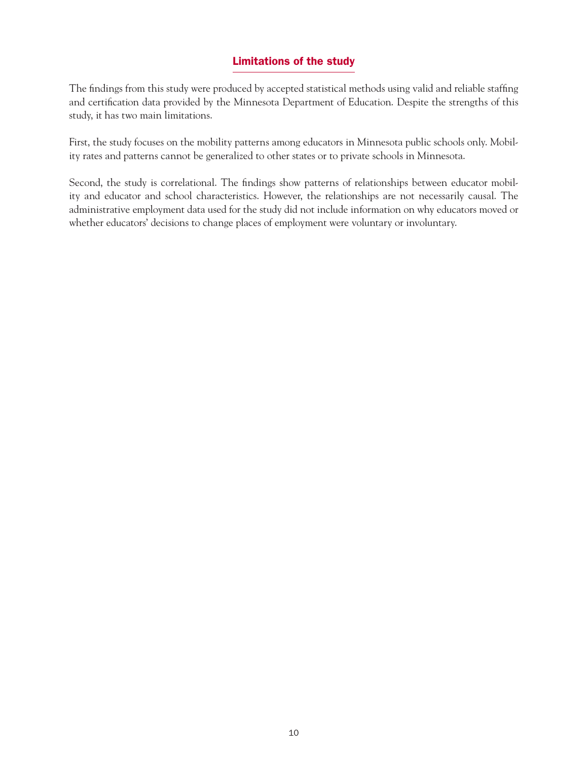# Limitations of the study

The findings from this study were produced by accepted statistical methods using valid and reliable staffing and certification data provided by the Minnesota Department of Education. Despite the strengths of this study, it has two main limitations.

First, the study focuses on the mobility patterns among educators in Minnesota public schools only. Mobility rates and patterns cannot be generalized to other states or to private schools in Minnesota.

Second, the study is correlational. The findings show patterns of relationships between educator mobility and educator and school characteristics. However, the relationships are not necessarily causal. The administrative employment data used for the study did not include information on why educators moved or whether educators' decisions to change places of employment were voluntary or involuntary.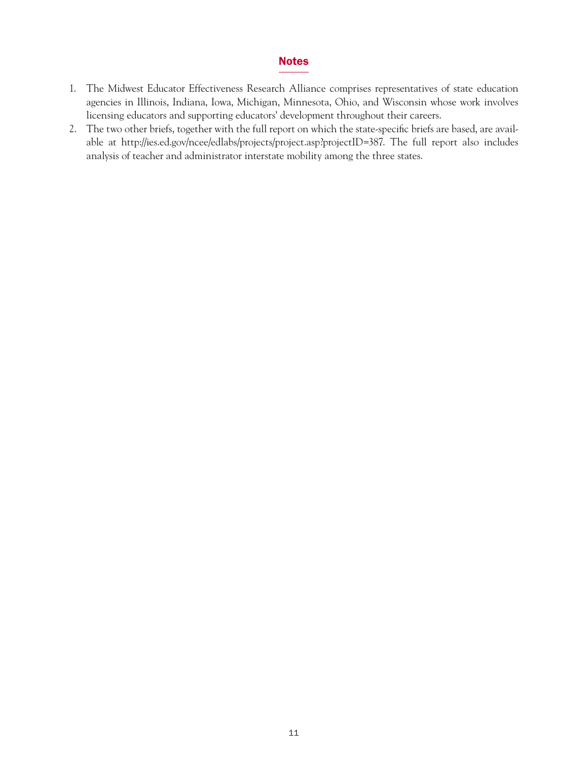#### Notes

- 1. The Midwest Educator Effectiveness Research Alliance comprises representatives of state education agencies in Illinois, Indiana, Iowa, Michigan, Minnesota, Ohio, and Wisconsin whose work involves licensing educators and supporting educators' development throughout their careers.
- 2. The two other briefs, together with the full report on which the state-specific briefs are based, are available at [http://ies.ed.gov/ncee/edlabs/projects/project.asp?projectID=387.](http://ies.ed.gov/ncee/edlabs/projects/project.asp?projectID=387) The full report also includes analysis of teacher and administrator interstate mobility among the three states.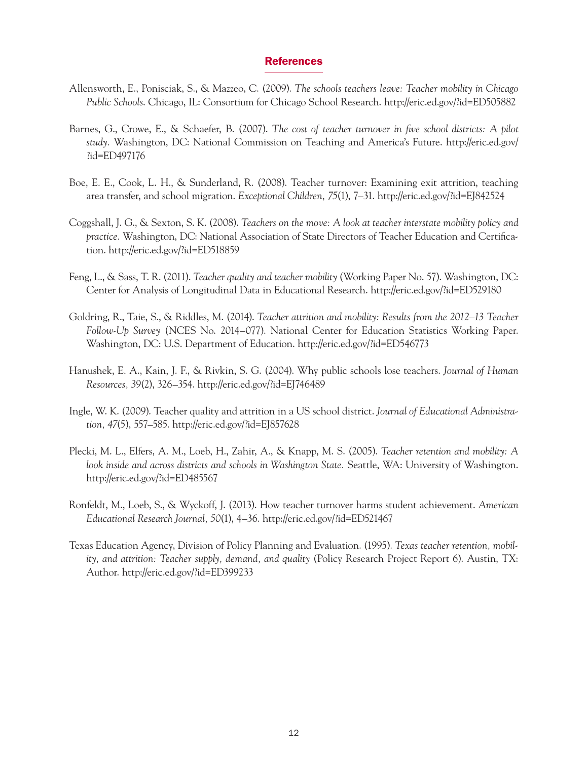#### References

- Allensworth, E., Ponisciak, S., & Mazzeo, C. (2009). *The schools teachers leave: Teacher mobility in Chicago Public Schools*. Chicago, IL: Consortium for Chicago School Research.<http://eric.ed.gov/?id=ED505882>
- Barnes, G., Crowe, E., & Schaefer, B. (2007). *The cost of teacher turnover in five school districts: A pilot study.* Washington, DC: National Commission on Teaching and America's Future. [http://eric.ed.gov/](http://eric.ed.gov/?id=ED497176)  [?id=ED497176](http://eric.ed.gov/?id=ED497176)
- Boe, E. E., Cook, L. H., & Sunderland, R. (2008). Teacher turnover: Examining exit attrition, teaching area transfer, and school migration. *Exceptional Children, 75*(1), 7–31.<http://eric.ed.gov/?id=EJ842524>
- Coggshall, J. G., & Sexton, S. K. (2008). *Teachers on the move: A look at teacher interstate mobility policy and practice.* Washington, DC: National Association of State Directors of Teacher Education and Certification.<http://eric.ed.gov/?id=ED518859>
- Feng, L., & Sass, T. R. (2011). *Teacher quality and teacher mobility* (Working Paper No. 57). Washington, DC: Center for Analysis of Longitudinal Data in Educational Research.<http://eric.ed.gov/?id=ED529180>
- Goldring, R., Taie, S., & Riddles, M. (2014). *Teacher attrition and mobility: Results from the 2012–13 Teacher Follow-Up Survey* (NCES No. 2014–077). National Center for Education Statistics Working Paper. Washington, DC: U.S. Department of Education.<http://eric.ed.gov/?id=ED546773>
- Hanushek, E. A., Kain, J. F., & Rivkin, S. G. (2004). Why public schools lose teachers. *Journal of Human Resources, 39*(2), 326–354. <http://eric.ed.gov/?id=EJ746489>
- Ingle, W. K. (2009). Teacher quality and attrition in a US school district. *Journal of Educational Administration, 47*(5), 557–585. <http://eric.ed.gov/?id=EJ857628>
- Plecki, M. L., Elfers, A. M., Loeb, H., Zahir, A., & Knapp, M. S. (2005). *Teacher retention and mobility: A look inside and across districts and schools in Washington State.* Seattle, WA: University of Washington. <http://eric.ed.gov/?id=ED485567>
- Ronfeldt, M., Loeb, S., & Wyckoff, J. (2013). How teacher turnover harms student achievement. *American Educational Research Journal, 50*(1), 4–36. <http://eric.ed.gov/?id=ED521467>
- Texas Education Agency, Division of Policy Planning and Evaluation. (1995). *Texas teacher retention, mobility, and attrition: Teacher supply, demand, and quality* (Policy Research Project Report 6). Austin, TX: Author.<http://eric.ed.gov/?id=ED399233>